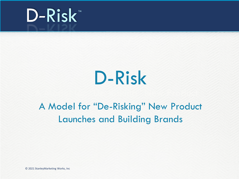

### D-Risk D-Risk

### A Model for "De-Risking" New Product Launches and Building Brands

© 2021 StanleyMarketing Works, Inc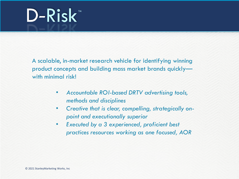A scalable, in-market research vehicle for identifying winning product concepts and building mass market brands quickly with minimal risk!

- *Accountable ROI-based DRTV advertising tools, methods and disciplines*
- *Creative that is clear, compelling, strategically onpoint and executionally superior*
- *Executed by a 3 experienced, proficient best practices resources working as one focused, AOR*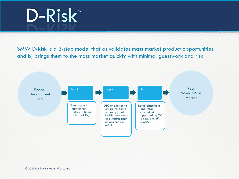SMW D-Risk is a 3-step model that a) validates mass market product opportunities and b) brings them to the mass market quickly with minimal guesswork and risk

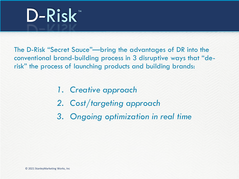

The D-Risk "Secret Sauce"—bring the advantages of DR into the conventional brand-building process in 3 disruptive ways that "derisk" the process of launching products and building brands:

- *1. Creative approach*
- *2. Cost/targeting approach*
- *3. Ongoing optimization in real time*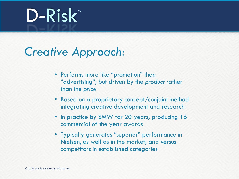### *Creative Approach:*

- Performs more like "promotion" than "advertising"; but driven by the *product* rather than the *price*
- Based on a proprietary concept/conjoint method integrating creative development and research
- In practice by SMW for 20 years; producing 16 commercial of the year awards
- Typically generates "superior" performance in Nielsen, as well as in the market; and versus competitors in established categories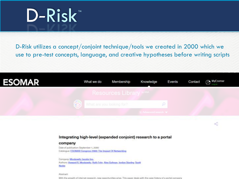D-Risk utilizes a concept/conjoint technique/tools we created in 2000 which we use to pre-test concepts, language, and creative hypotheses before writing scripts



### Integrating high-level (expanded conjoint) research to a portal

### company

Date of publication: September 1, 2000 Catalogue: ESOMAR Congress 2000: The Impact Of Networking

Company: Moskowitz Jacobs Inc. Authors: Howard R. Moskowitz, Ruth Fehr, Alex Golman, Jordan Stanley, Scott Noble

Ababract:

With the growth of internet research, new opportunities arise. This paper deals with the case history of a portal company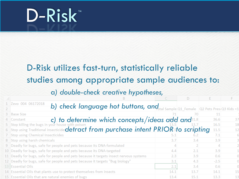### D-Risk utilizes fast-turn, statistically reliable studies among appropriate sample audiences to:

### a*) double-check creative hypotheses,*

|   | 1 Zevo 004 06172018                                                                    |      |      |        |    |
|---|----------------------------------------------------------------------------------------|------|------|--------|----|
| 2 | b) check language hot buttons, and Sample Q1_Female Q2 Pets PresiQ3 Kids <1            |      |      |        |    |
|   | 3 Base Size                                                                            |      | 70   | 11     |    |
|   | c) to determine which concepts/ideas add and 31.8<br>Constant                          |      |      | 36.6   | 37 |
|   | 5 Stop killing the bugs in your house with poison                                      |      |      | 16.5   | 18 |
|   | 6 Stop using Traditional insecticide detract from purchase intent PRIOR sto scripting  |      |      | 11.5   | 12 |
|   | 7 Stop using Chemical Insecticides                                                     |      |      | 7.1    |    |
|   | 8 Stop using harsh chemicals                                                           | 3.7  | 3.4  | 3.9    |    |
|   | 9 Deadly for bugs, safe for people and pets because its DNA-formulated                 |      |      |        |    |
|   | 10 Deadly for bugs, safe for people and pets because its DNA-targeted                  | 4.4  | 2.1  | 3.9    |    |
|   | 11 Deadly for bugs, safe for people and pets because it targets insect nervous systems | 2.3  | 3.9  | 0.6    |    |
|   | 12 Deadly for bugs, safe for people and pets because it targets "Bug biology"          | 3.1  | 4.3  | $-2.5$ |    |
|   | 13 Essential Oils                                                                      | 2.1  | 3.4  | 0.6    |    |
|   | 14 Essential Oils that plants use to protect themselves from insects                   | 14.1 | 13.7 | 14.1   | 15 |
|   | 15 Essential Oils that are natural enemies of bugs                                     | 13.4 | 15.1 | 13.3   | 13 |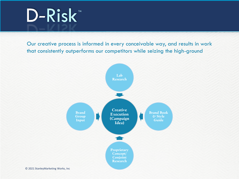Our creative process is informed in every conceivable way, and results in work that consistently outperforms our competitors while seizing the high-ground

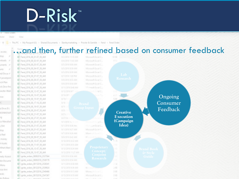lame. Share View

> This PC > My Passport (E) > Shared Documents > Stanleymorketing > Procter & Gamble > Fend + Fend Order

### …and then, further refined based on consumer feedbackaccess. dop: ID: Fend 2016 08 01-07 59 AM 8/2/2016 11:10 AM Microsoft Foral C., mloads of 01 Fend 2016 08 02-07 59 AM 8/4/2016 11/03 AM Microsoft Fired C. B Fend 2016 08 03-07 50 AM 8/5/2016 8:00 AM Microsoft Escal C., uments # D: Fend 2016 08 04-07 59 AM Microsoft Excel C. B/3/2016 8/59 AM ures: D Fend 2016 08 05-07 50 AM Microsoft fixed C. 8/5/2016 8:30 AM ed Docur iP D- Fend 2016 08 07-07 59 AM 8/7/2016 1:00 PM Microsoft Excel C. niogravity<sup>1</sup> B Fend, 2016.00.08-07.50 AM Microsoft Great C., 8/9/2016 8:55 AM sch Plan D Fend 2016 08 09-07 19 AM IVE/2016 & SEAM Microsoft Excel C. ck Zevo final D Fend, 2016, 08, 11-07, 50, AM A/11/2016 548 AM 1. Firms and Excel C. anster-Blab Dr Fend 2016 08 12-07 59 AM B/12/2016 9-0 od C. D- Fend 2016 08 13-07 50 AM Ongoing rive. DE Fend 2016 08 15-07 59 AM 8/15/7 Kicto Consumer B- Fend, 2016.08.17-10.30.AM 取付か Dr. Fend 2016 08 19-07 19 AM Feedback a Drive (Fi) B Fand 2016 08 20-07 50 AM Creative ROINNOVAT D- Fend 2016 08 21-07 59 AM Execution 10 B Fend 2016 08 27-07 50 AM (Campaign co Manufact B Fend 2016.08.28-07.59.AM WV2016 Noti AM Idea) D- Fend, 2016, 08, 31-07, 50, AM 9/1/2016 9:36 AM Microsoft Excel C., / Dirt D Fend 2016 09 01-07 19 AM Microsoft Excel C. 9/1/2016 9:27 AM dop B Fend 2016 09:07-07-58 AM 0/7/2016 9:26 AM Microis Reel Di Fend 2016 09 09-07 59 AM MA SA8 010512 Microsoft I money ID: Fend 2016 09 10-07 50 AM 9/10/2016 8:32 AM Assets DF Fend 2016 09 11-07 59 AM 8/11/2016 8:55 AM What'sNext B Fend, 2016, 09, 12-07, 50, AM 9/12/2016 E34 AM DE Fend 2016 09 13-07 19 AM 9/13/2016 11:27 AM 0 ignite\_orden\_06062016\_2537564 nedy Assassi 8/9/2016 8:56 AM Di ignite orders 08092016 2538179 8/9/2016 8/54 AM kin Docume D ignite\_orders\_06112016\_2530341 A/11/2016 E50 AM 2108 Menu © 2021 ignite\_orders\_08122016\_2509824 2021 2022010 9:00 AM<br>◎ 2021 ignite\_orders\_08132016\_2540466 2013/2016 8:13 AM 3 KH issa Ann 5 KB 8/13/2016 9:13 AM Microsoft Excel C erals) Dr ignite orders 08152016 2541567 MA 21-2010 5:19 AM Microsoft Excel C. 3. KB

**Via Putform** THE COMMAND ARREST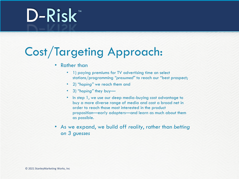### Cost/Targeting Approach:

### • Rather than

- 1) paying premiums for TV advertising time on select stations/programming *"presumed"* to reach our "best prospect;
- 2) *"hoping"* we reach them and
- 3) *"hoping"* they buy—
- In step 1, we use our deep media-buying cost advantage to buy a more diverse range of media and cast a broad net in order to reach those most interested in the product proposition—early adopters—and learn as much about them as possible.
- As we expand, we build off *reality*, rather than *betting on 3 guesses*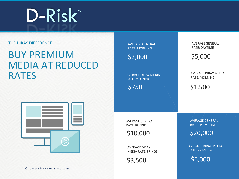### THE DIRAY DIFFERENCE

### BUY PREMIUM MEDIA AT REDUCED RATES



AVERAGE GENERAL RATE: MORNING

 $$2,000$   $$5,000$ 

AVERAGE DIRAY MEDIA RATE: MORNING

\$750

AVERAGE GENERAL RATE: DAYTIME

AVERAGE DIRAY MEDIA RATE: MORNING

\$1,500

AVERAGE GENERAL RATE: FRINGE

\$10,000

AVERAGE DIRAY MEDIA RATE: FRINGE

\$3,500

AVERAGE GENERAL RATE: PRIMETIME

\$20,000

AVERAGE DIRAY MEDIA RATE: PRIMETIME

\$6,000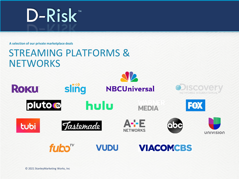**A selection of our private marketplace deals**

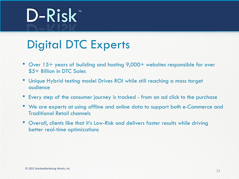### Digital DTC Experts

- Over 15+ years of building and hosting 9,000+ websites responsible for over \$5+ Billion in DTC Sales
- Unique Hybrid testing model Drives ROI while still reaching a mass target audience
- Every step of the consumer journey is tracked from an ad click to the purchase
- We are experts at using offline and online data to support both e-Commerce and Traditional Retail channels
- Overall, clients like that it's Low-Risk and delivers faster results while driving better real-time optimizations